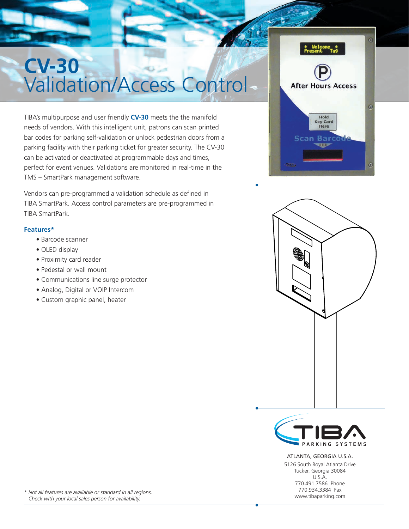# **CV-30** Validation/Access Control

TIBA's multipurpose and user friendly **CV-30** meets the the manifold needs of vendors. With this intelligent unit, patrons can scan printed bar codes for parking self-validation or unlock pedestrian doors from a parking facility with their parking ticket for greater security. The CV-30 can be activated or deactivated at programmable days and times, perfect for event venues. Validations are monitored in real-time in the TMS – SmartPark management software.

Vendors can pre-programmed a validation schedule as defined in TIBA SmartPark. Access control parameters are pre-programmed in TIBA SmartPark.

## **Features\***

- Barcode scanner
- OLED display
- Proximity card reader
- Pedestal or wall mount
- Communications line surge protector
- Analog, Digital or VOIP Intercom
- Custom graphic panel, heater





ARKING **SYSTEMS** ATLANTA, GEORGIA U.S.A. 5126 South Royal Atlanta Drive Tucker, Georgia 30084 U.S.A.

770.491.7586 Phone 770.934.3384 Fax www.tibaparking.com

*\* Not all features are available or standard in all regions. Check with your local sales person for availability.*